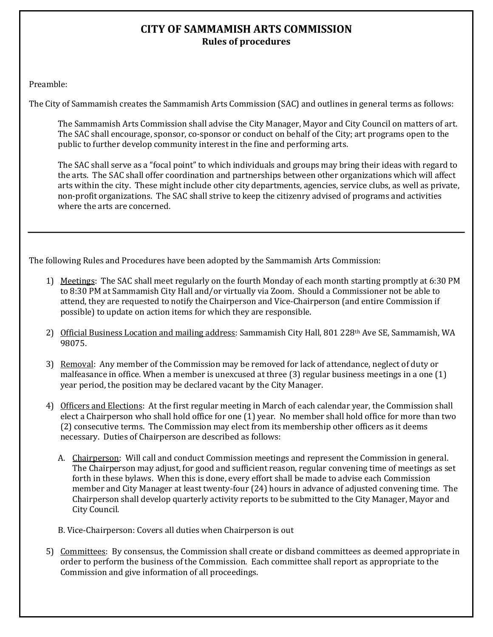## **CITY OF SAMMAMISH ARTS COMMISSION Rules of procedures**

Preamble:

The City of Sammamish creates the Sammamish Arts Commission (SAC) and outlines in general terms as follows:

The Sammamish Arts Commission shall advise the City Manager, Mayor and City Council on matters of art. The SAC shall encourage, sponsor, co-sponsor or conduct on behalf of the City; art programs open to the public to further develop community interest in the fine and performing arts.

The SAC shall serve as a "focal point" to which individuals and groups may bring their ideas with regard to the arts. The SAC shall offer coordination and partnerships between other organizations which will affect arts within the city. These might include other city departments, agencies, service clubs, as well as private, non-profit organizations. The SAC shall strive to keep the citizenry advised of programs and activities where the arts are concerned.

The following Rules and Procedures have been adopted by the Sammamish Arts Commission:

- 1) Meetings: The SAC shall meet regularly on the fourth Monday of each month starting promptly at 6:30 PM to 8:30 PM at Sammamish City Hall and/or virtually via Zoom. Should a Commissioner not be able to attend, they are requested to notify the Chairperson and Vice-Chairperson (and entire Commission if possible) to update on action items for which they are responsible.
- 2) Official Business Location and mailing address: Sammamish City Hall, 801 228<sup>th</sup> Ave SE, Sammamish, WA 98075.
- 3) Removal: Any member of the Commission may be removed for lack of attendance, neglect of duty or malfeasance in office. When a member is unexcused at three (3) regular business meetings in a one (1) year period, the position may be declared vacant by the City Manager.
- 4) Officers and Elections: At the first regular meeting in March of each calendar year, the Commission shall elect a Chairperson who shall hold office for one (1) year. No member shall hold office for more than two (2) consecutive terms. The Commission may elect from its membership other officers as it deems necessary. Duties of Chairperson are described as follows:
	- A. Chairperson: Will call and conduct Commission meetings and represent the Commission in general. The Chairperson may adjust, for good and sufficient reason, regular convening time of meetings as set forth in these bylaws. When this is done, every effort shall be made to advise each Commission member and City Manager at least twenty-four (24) hours in advance of adjusted convening time. The Chairperson shall develop quarterly activity reports to be submitted to the City Manager, Mayor and City Council.
	- B. Vice-Chairperson: Covers all duties when Chairperson is out
- 5) Committees: By consensus, the Commission shall create or disband committees as deemed appropriate in order to perform the business of the Commission. Each committee shall report as appropriate to the Commission and give information of all proceedings.